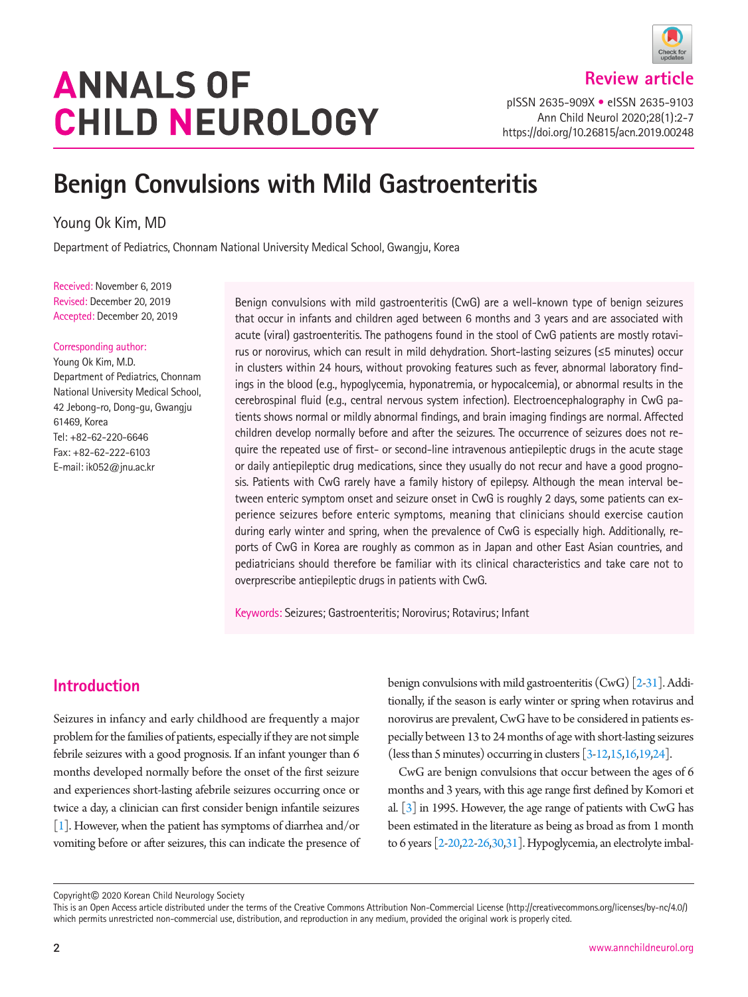# **ANNALS OF CHILD NEUROLOGY**

**Review article**

pISSN 2635-909X • eISSN 2635-9103 Ann Child Neurol 2020;28(1):2-7 https://doi.org/10.26815/acn.2019.00248

# **Benign Convulsions with Mild Gastroenteritis**

Young Ok Kim, MD

Department of Pediatrics, Chonnam National University Medical School, Gwangju, Korea

Received: November 6, 2019 Revised: December 20, 2019 Accepted: December 20, 2019

#### Corresponding author:

Young Ok Kim, M.D. Department of Pediatrics, Chonnam National University Medical School, 42 Jebong-ro, Dong-gu, Gwangju 61469, Korea Tel: +82-62-220-6646 Fax: +82-62-222-6103 E-mail: ik052@jnu.ac.kr

Benign convulsions with mild gastroenteritis (CwG) are a well-known type of benign seizures that occur in infants and children aged between 6 months and 3 years and are associated with acute (viral) gastroenteritis. The pathogens found in the stool of CwG patients are mostly rotavirus or norovirus, which can result in mild dehydration. Short-lasting seizures ( $\leq$ 5 minutes) occur in clusters within 24 hours, without provoking features such as fever, abnormal laboratory findings in the blood (e.g., hypoglycemia, hyponatremia, or hypocalcemia), or abnormal results in the cerebrospinal fluid (e.g., central nervous system infection). Electroencephalography in CwG patients shows normal or mildly abnormal findings, and brain imaging findings are normal. Affected children develop normally before and after the seizures. The occurrence of seizures does not require the repeated use of first- or second-line intravenous antiepileptic drugs in the acute stage or daily antiepileptic drug medications, since they usually do not recur and have a good prognosis. Patients with CwG rarely have a family history of epilepsy. Although the mean interval between enteric symptom onset and seizure onset in CwG is roughly 2 days, some patients can experience seizures before enteric symptoms, meaning that clinicians should exercise caution during early winter and spring, when the prevalence of CwG is especially high. Additionally, reports of CwG in Korea are roughly as common as in Japan and other East Asian countries, and pediatricians should therefore be familiar with its clinical characteristics and take care not to overprescribe antiepileptic drugs in patients with CwG.

Keywords: Seizures; Gastroenteritis; Norovirus; Rotavirus; Infant

## **Introduction**

Seizures in infancy and early childhood are frequently a major problem for the families of patients, especially if they are not simple febrile seizures with a good prognosis. If an infant younger than 6 months developed normally before the onset of the first seizure and experiences short-lasting afebrile seizures occurring once or twice a day, a clinician can first consider benign infantile seizures [\[1](#page-4-0)]. However, when the patient has symptoms of diarrhea and/or vomiting before or after seizures, this can indicate the presence of benign convulsions with mild gastroenteritis (CwG) [\[2](#page-4-1)[-31\]](#page-5-0). Additionally, if the season is early winter or spring when rotavirus and norovirus are prevalent, CwG have to be considered in patients especially between 13 to 24 months of age with short-lasting seizures (less than 5 minutes) occurring in clusters  $[3-12,15,16,19,24]$  $[3-12,15,16,19,24]$  $[3-12,15,16,19,24]$  $[3-12,15,16,19,24]$  $[3-12,15,16,19,24]$  $[3-12,15,16,19,24]$ .

CwG are benign convulsions that occur between the ages of 6 months and 3 years, with this age range first defined by Komori et al. [\[3](#page-4-1)] in 1995. However, the age range of patients with CwG has been estimated in the literature as being as broad as from 1 month to 6 years [\[2-](#page-4-1)[20](#page-5-2)[,22](#page-5-3)[-26](#page-5-4)[,30](#page-5-5)[,31](#page-5-0)]. Hypoglycemia, an electrolyte imbal-

Copyright© 2020 Korean Child Neurology Society

This is an Open Access article distributed under the terms of the Creative Commons Attribution Non-Commercial License (http://creativecommons.org/licenses/by-nc/4.0/) which permits unrestricted non-commercial use, distribution, and reproduction in any medium, provided the original work is properly cited.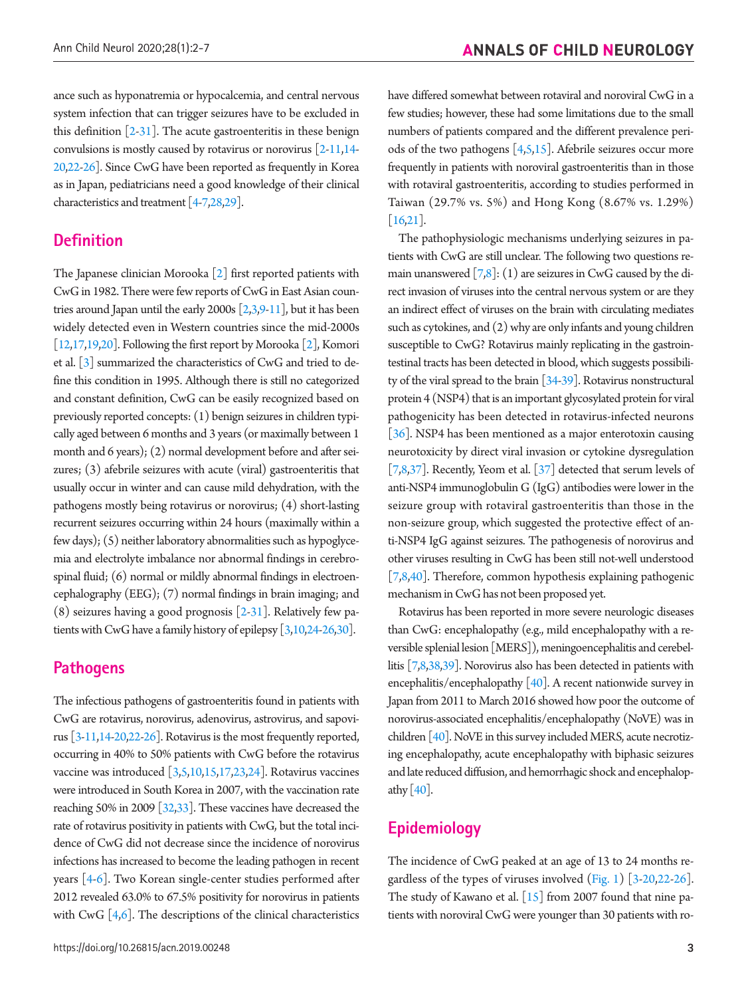ance such as hyponatremia or hypocalcemia, and central nervous system infection that can trigger seizures have to be excluded in this definition  $[2-31]$  $[2-31]$ . The acute gastroenteritis in these benign convulsions is mostly caused by rotavirus or norovirus  $[2-11,14 [2-11,14 [2-11,14 [2-11,14-$ [20](#page-5-2)[,22](#page-5-3)[-26\]](#page-5-4). Since CwG have been reported as frequently in Korea as in Japan, pediatricians need a good knowledge of their clinical characteristics and treatment [\[4](#page-4-8)[-7](#page-4-9)[,28](#page-5-6)[,29](#page-5-7)].

#### **Definition**

The Japanese clinician Morooka [2] first reported patients with CwG in 1982. There were few reports of CwG in East Asian countries around Japan until the early 2000s  $[2,3,9-11]$  $[2,3,9-11]$  $[2,3,9-11]$ , but it has been widely detected even in Western countries since the mid-2000s [12,[17](#page-4-11),19,20]. Following the first report by Morooka [2], Komori et al. [3] summarized the characteristics of CwG and tried to define this condition in 1995. Although there is still no categorized and constant definition, CwG can be easily recognized based on previously reported concepts: (1) benign seizures in children typically aged between 6 months and 3 years (or maximally between 1 month and 6 years); (2) normal development before and after seizures; (3) afebrile seizures with acute (viral) gastroenteritis that usually occur in winter and can cause mild dehydration, with the pathogens mostly being rotavirus or norovirus; (4) short-lasting recurrent seizures occurring within 24 hours (maximally within a few days); (5) neither laboratory abnormalities such as hypoglycemia and electrolyte imbalance nor abnormal findings in cerebrospinal fluid; (6) normal or mildly abnormal findings in electroencephalography (EEG); (7) normal findings in brain imaging; and  $(8)$  seizures having a good prognosis [2-31]. Relatively few patients with CwG have a family history of epilepsy [[3,10,](#page-4-12)24-26,30].

#### **Pathogens**

The infectious pathogens of gastroenteritis found in patients with CwG are rotavirus, norovirus, adenovirus, astrovirus, and sapovirus [3-11,14-20,22-26]. Rotavirus is the most frequently reported, occurring in 40% to 50% patients with CwG before the rotavirus vaccine was introduced [3[,5](#page-4-9)[,10,](#page-4-12)15[,17,](#page-4-11)[23,](#page-5-8)24]. Rotavirus vaccines were introduced in South Korea in 2007, with the vaccination rate reaching 50% in 2009 [\[32,](#page-5-9)[33](#page-5-10)]. These vaccines have decreased the rate of rotavirus positivity in patients with CwG, but the total incidence of CwG did not decrease since the incidence of norovirus infections has increased to become the leading pathogen in recent years [\[4-6\]](#page-4-8). Two Korean single-center studies performed after 2012 revealed 63.0% to 67.5% positivity for norovirus in patients with CwG  $[4,6]$  $[4,6]$ . The descriptions of the clinical characteristics have differed somewhat between rotaviral and noroviral CwG in a few studies; however, these had some limitations due to the small numbers of patients compared and the different prevalence periods of the two pathogens [\[4,](#page-4-8)[5,](#page-4-9)15]. Afebrile seizures occur more frequently in patients with noroviral gastroenteritis than in those with rotaviral gastroenteritis, according to studies performed in Taiwan (29.7% vs. 5%) and Hong Kong (8.67% vs. 1.29%) [1[6,21\]](#page-5-11).

The pathophysiologic mechanisms underlying seizures in patients with CwG are still unclear. The following two questions remain unanswered  $[7,8]$ : (1) are seizures in CwG caused by the direct invasion of viruses into the central nervous system or are they an indirect effect of viruses on the brain with circulating mediates such as cytokines, and (2) why are only infants and young children susceptible to CwG? Rotavirus mainly replicating in the gastrointestinal tracts has been detected in blood, which suggests possibility of the viral spread to the brain [\[34](#page-5-12)[-39\]](#page-5-13). Rotavirus nonstructural protein 4 (NSP4) that is an important glycosylated protein for viral pathogenicity has been detected in rotavirus-infected neurons [\[36\]](#page-5-14). NSP4 has been mentioned as a major enterotoxin causing neurotoxicity by direct viral invasion or cytokine dysregulation [\[7,8](#page-4-9)[,37\]](#page-5-10). Recently, Yeom et al.  $[37]$  $[37]$  detected that serum levels of anti-NSP4 immunoglobulin G (IgG) antibodies were lower in the seizure group with rotaviral gastroenteritis than those in the non-seizure group, which suggested the protective effect of anti-NSP4 IgG against seizures. The pathogenesis of norovirus and other viruses resulting in CwG has been still not-well understood [\[7,8](#page-4-9)[,40](#page-5-14)]. Therefore, common hypothesis explaining pathogenic mechanism in CwG has not been proposed yet.

Rotavirus has been reported in more severe neurologic diseases than CwG: encephalopathy (e.g., mild encephalopathy with a reversible splenial lesion [MERS]), meningoencephalitis and cerebellitis [\[7,8](#page-4-9)[,38](#page-5-15)[,39\]](#page-5-13). Norovirus also has been detected in patients with encephalitis/encephalopathy  $[40]$  $[40]$ . A recent nationwide survey in Japan from 2011 to March 2016 showed how poor the outcome of norovirus-associated encephalitis/encephalopathy (NoVE) was in children [40]. NoVE in this survey included MERS, acute necrotizing encephalopathy, acute encephalopathy with biphasic seizures and late reduced diffusion, and hemorrhagic shock and encephalopathy  $[40]$ .

#### **Epidemiology**

The incidence of CwG peaked at an age of 13 to 24 months regardless of the types of viruses involved [\(Fig. 1](#page-2-0)) [3-20,22-26]. The study of Kawano et al. [15] from 2007 found that nine patients with noroviral CwG were younger than 30 patients with ro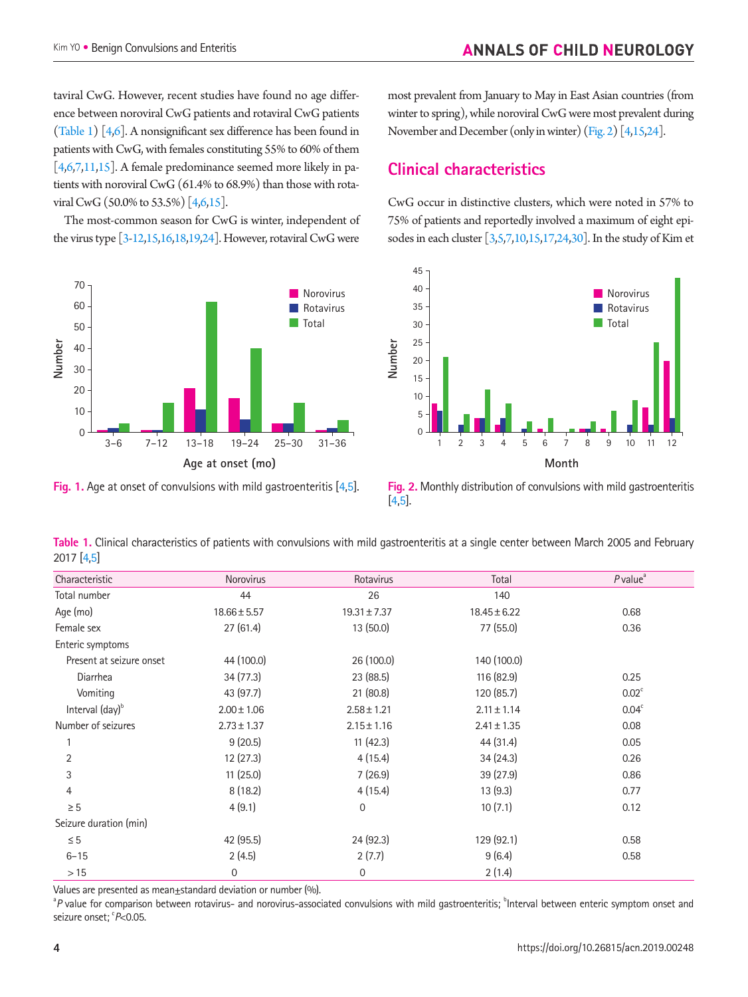taviral CwG. However, recent studies have found no age difference between noroviral CwG patients and rotaviral CwG patients ([Table 1](#page-2-1)) [4,6]. A nonsignificant sex difference has been found in patients with CwG, with females constituting 55% to 60% of them  $[4,6,7,11,15]$ . A female predominance seemed more likely in patients with noroviral CwG (61.4% to 68.9%) than those with rotaviral CwG (50.0% to 53.5%) [4,6,15].

The most-common season for CwG is winter, independent of the virus type [3-12,15,1[6,18](#page-5-16),19,24]. However, rotaviral CwG were

<span id="page-2-0"></span>

**Fig. 1.** Age at onset of convulsions with mild gastroenteritis [\[4,](#page-4-13)[5\]](#page-4-14).

most prevalent from January to May in East Asian countries (from winter to spring), while noroviral CwG were most prevalent during November and December (only in winter) [\(Fig. 2](#page-2-2)) [4,15,24].

# **Clinical characteristics**

CwG occur in distinctive clusters, which were noted in 57% to 75% of patients and reportedly involved a maximum of eight episodes in each cluster  $\left[3,5,7,10,15,17,24,30\right]$ . In the study of Kim et

<span id="page-2-2"></span>

**Fig. 2.** Monthly distribution of convulsions with mild gastroenteritis [[4](#page-4-13)[,5](#page-4-14)].

<span id="page-2-1"></span>

|            | Table 1. Clinical characteristics of patients with convulsions with mild gastroenteritis at a single center between March 2005 and February |  |  |  |  |  |
|------------|---------------------------------------------------------------------------------------------------------------------------------------------|--|--|--|--|--|
| 2017 [4.5] |                                                                                                                                             |  |  |  |  |  |

| Characteristic              | Norovirus        | Rotavirus        | Total            | $P$ value $a$     |
|-----------------------------|------------------|------------------|------------------|-------------------|
| Total number                | 44               | 26               | 140              |                   |
| Age (mo)                    | $18.66 \pm 5.57$ | $19.31 \pm 7.37$ | $18.45 \pm 6.22$ | 0.68              |
| Female sex                  | 27(61.4)         | 13 (50.0)        | 77 (55.0)        | 0.36              |
| Enteric symptoms            |                  |                  |                  |                   |
| Present at seizure onset    | 44 (100.0)       | 26 (100.0)       | 140 (100.0)      |                   |
| Diarrhea                    | 34(77.3)         | 23 (88.5)        | 116 (82.9)       | 0.25              |
| Vomiting                    | 43 (97.7)        | 21(80.8)         | 120 (85.7)       | 0.02 <sup>c</sup> |
| Interval (day) <sup>b</sup> | $2.00 \pm 1.06$  | $2.58 \pm 1.21$  | $2.11 \pm 1.14$  | 0.04 <sup>c</sup> |
| Number of seizures          | $2.73 \pm 1.37$  | $2.15 \pm 1.16$  | $2.41 \pm 1.35$  | 0.08              |
|                             | 9(20.5)          | 11(42.3)         | 44 (31.4)        | 0.05              |
| $\overline{2}$              | 12(27.3)         | 4(15.4)          | 34(24.3)         | 0.26              |
| 3                           | 11(25.0)         | 7(26.9)          | 39(27.9)         | 0.86              |
| $\overline{4}$              | 8(18.2)          | 4(15.4)          | 13(9.3)          | 0.77              |
| $\geq 5$                    | 4(9.1)           | $\mathbf 0$      | 10(7.1)          | 0.12              |
| Seizure duration (min)      |                  |                  |                  |                   |
| $\leq 5$                    | 42 (95.5)        | 24 (92.3)        | 129 (92.1)       | 0.58              |
| $6 - 15$                    | 2(4.5)           | 2(7.7)           | 9(6.4)           | 0.58              |
| >15                         | 0                | 0                | 2(1.4)           |                   |

Values are presented as mean±standard deviation or number (%).

<sup>a</sup>P value for comparison between rotavirus- and norovirus-associated convulsions with mild gastroenteritis; <sup>b</sup>Interval between enteric symptom onset and seizure onset; <sup>c</sup>P<0.05.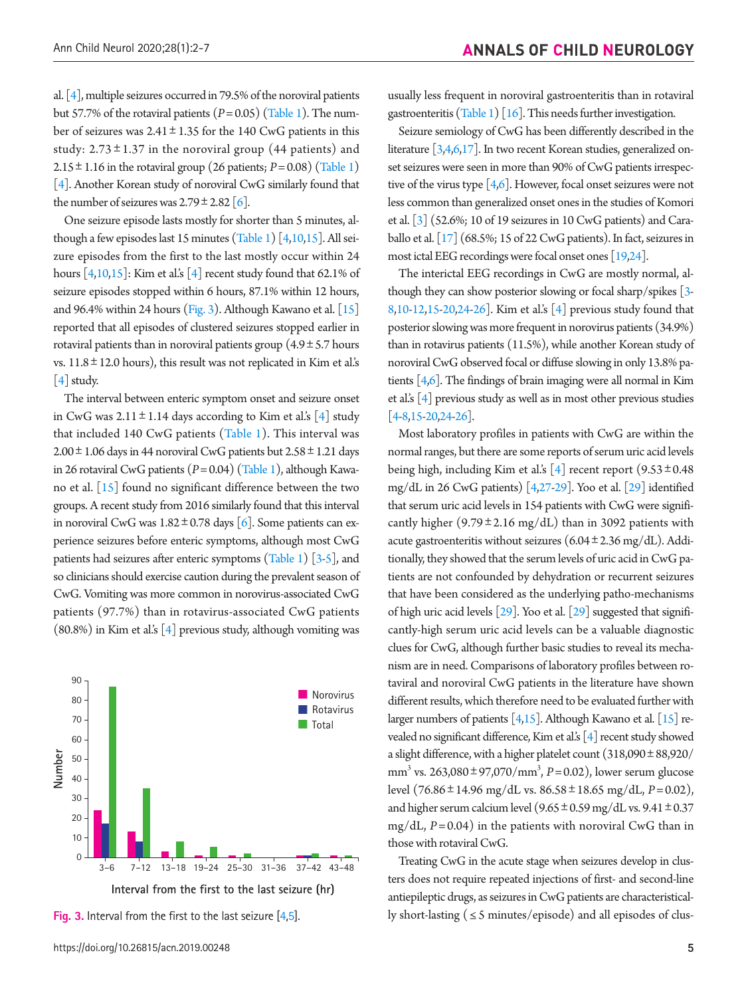al. [4], multiple seizures occurred in 79.5% of the noroviral patients but 57.7% of the rotaviral patients (*P*= 0.05) [\(Table 1](#page-2-1)). The number of seizures was  $2.41 \pm 1.35$  for the 140 CwG patients in this study:  $2.73 \pm 1.37$  in the noroviral group (44 patients) and 2.15 $\pm$ 1.16 in the rotaviral group (26 patients; *P* = 0.08) [\(Table 1](#page-2-1)) [4]. Another Korean study of noroviral CwG similarly found that the number of seizures was  $2.79 \pm 2.82$  [6].

One seizure episode lasts mostly for shorter than 5 minutes, although a few episodes last 15 minutes [\(Table 1\)](#page-2-1) [4,10,15]. All seizure episodes from the first to the last mostly occur within 24 hours  $[4,10,15]$ : Kim et al.'s  $[4]$  recent study found that 62.1% of seizure episodes stopped within 6 hours, 87.1% within 12 hours, and 96.4% within 24 hours (Fig. 3). Although Kawano et al. [15] reported that all episodes of clustered seizures stopped earlier in rotaviral patients than in noroviral patients group  $(4.9 \pm 5.7 \text{ hours})$ vs.  $11.8 \pm 12.0$  hours), this result was not replicated in Kim et al.'s [4] study.

The interval between enteric symptom onset and seizure onset in CwG was  $2.11 \pm 1.14$  days according to Kim et al.'s [4] study that included 140 CwG patients (Table 1). This interval was  $2.00 \pm 1.06$  days in 44 noroviral CwG patients but  $2.58 \pm 1.21$  days in 26 rotaviral CwG patients (*P*= 0.04) ([Table 1\)](#page-2-1), although Kawano et al. [15] found no significant difference between the two groups. A recent study from 2016 similarly found that this interval in noroviral CwG was  $1.82 \pm 0.78$  days [6]. Some patients can experience seizures before enteric symptoms, although most CwG patients had seizures after enteric symptoms [\(Table 1\)](#page-2-1) [3-5], and so clinicians should exercise caution during the prevalent season of CwG. Vomiting was more common in norovirus-associated CwG patients (97.7%) than in rotavirus-associated CwG patients  $(80.8\%)$  in Kim et al.'s  $\lceil 4 \rceil$  previous study, although vomiting was



usually less frequent in noroviral gastroenteritis than in rotaviral gastroenteritis [\(Table 1\)](#page-2-1)  $[16]$ . This needs further investigation.

Seizure semiology of CwG has been differently described in the literature [3,4,6,17]. In two recent Korean studies, generalized onset seizures were seen in more than 90% of CwG patients irrespective of the virus type [4,6]. However, focal onset seizures were not less common than generalized onset ones in the studies of Komori et al. [3] (52.6%; 10 of 19 seizures in 10 CwG patients) and Caraballo et al. [17] (68.5%; 15 of 22 CwG patients). In fact, seizures in most ictal EEG recordings were focal onset ones [19,24].

The interictal EEG recordings in CwG are mostly normal, although they can show posterior slowing or focal sharp/spikes [3- 8,10-12,15-20,24-26]. Kim et al.'s [4] previous study found that posterior slowing was more frequent in norovirus patients (34.9%) than in rotavirus patients (11.5%), while another Korean study of noroviral CwG observed focal or diffuse slowing in only 13.8% patients [4,6]. The findings of brain imaging were all normal in Kim et al.'s  $[4]$  previous study as well as in most other previous studies  $[4-8, 15-20, 24-26]$ .

Most laboratory profiles in patients with CwG are within the normal ranges, but there are some reports of serum uric acid levels being high, including Kim et al.'s [4] recent report  $(9.53 \pm 0.48)$ mg/dL in 26 CwG patients) [4[,27](#page-5-17)-29]. Yoo et al. [29] identified that serum uric acid levels in 154 patients with CwG were significantly higher  $(9.79 \pm 2.16 \text{ mg/dL})$  than in 3092 patients with acute gastroenteritis without seizures  $(6.04 \pm 2.36 \text{ mg/dL})$ . Additionally, they showed that the serum levels of uric acid in CwG patients are not confounded by dehydration or recurrent seizures that have been considered as the underlying patho-mechanisms of high uric acid levels [29]. Yoo et al. [29] suggested that significantly-high serum uric acid levels can be a valuable diagnostic clues for CwG, although further basic studies to reveal its mechanism are in need. Comparisons of laboratory profiles between rotaviral and noroviral CwG patients in the literature have shown different results, which therefore need to be evaluated further with larger numbers of patients  $[4,15]$ . Although Kawano et al.  $[15]$  revealed no significant difference, Kim et al.'s [4] recent study showed a slight difference, with a higher platelet count (318,090±88,920/ mm3 vs. 263,080±97,070/mm3 , *P*= 0.02), lower serum glucose level (76.86±14.96 mg/dL vs. 86.58±18.65 mg/dL, *P*= 0.02), and higher serum calcium level  $(9.65 \pm 0.59 \text{ mg/dL vs. } 9.41 \pm 0.37)$ mg/dL, *P*= 0.04) in the patients with noroviral CwG than in those with rotaviral CwG.

Treating CwG in the acute stage when seizures develop in clusters does not require repeated injections of first- and second-line antiepileptic drugs, as seizures in CwG patients are characteristical-**Fig. 3.** Interval from the first to the last seizure  $[4,5]$  $[4,5]$  $[4,5]$ . ly short-lasting (  $\leq$  5 minutes/episode) and all episodes of clus-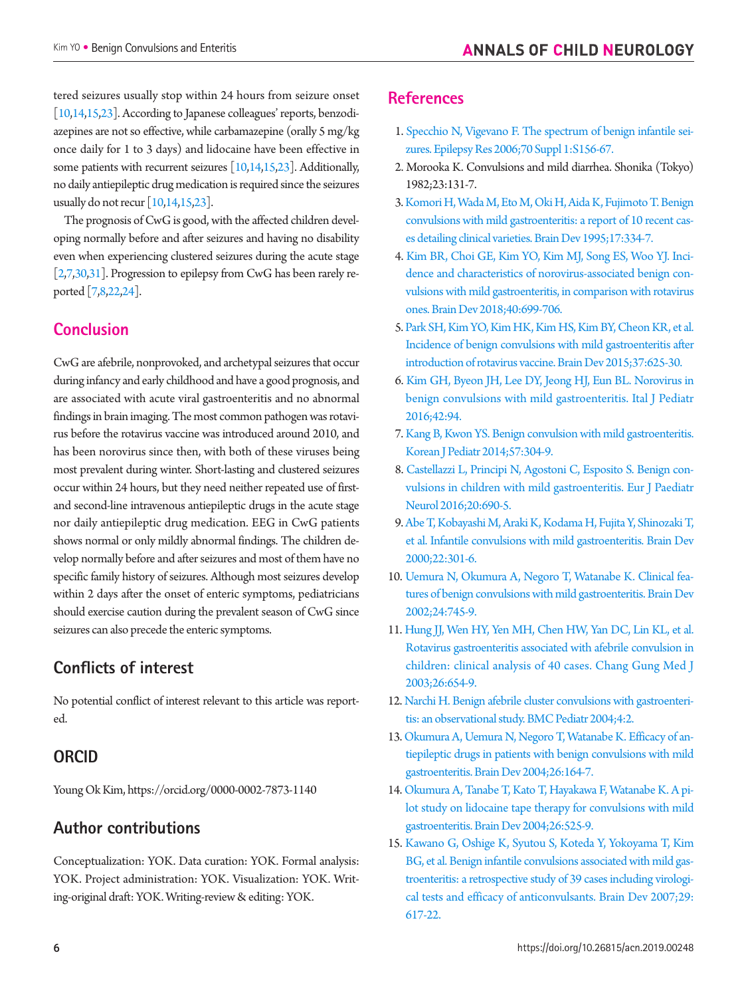tered seizures usually stop within 24 hours from seizure onset [10,14,15,23]. According to Japanese colleagues' reports, benzodiazepines are not so effective, while carbamazepine (orally 5 mg/kg once daily for 1 to 3 days) and lidocaine have been effective in some patients with recurrent seizures  $\left[10,14,15,23\right]$ . Additionally, no daily antiepileptic drug medication is required since the seizures usually do not recur  $\left[10,14,15,23\right]$ .

The prognosis of CwG is good, with the affected children developing normally before and after seizures and having no disability even when experiencing clustered seizures during the acute stage [2,7,30,31]. Progression to epilepsy from CwG has been rarely reported [7,8,22,24].

## **Conclusion**

CwG are afebrile, nonprovoked, and archetypal seizures that occur during infancy and early childhood and have a good prognosis, and are associated with acute viral gastroenteritis and no abnormal findings in brain imaging. The most common pathogen was rotavirus before the rotavirus vaccine was introduced around 2010, and has been norovirus since then, with both of these viruses being most prevalent during winter. Short-lasting and clustered seizures occur within 24 hours, but they need neither repeated use of firstand second-line intravenous antiepileptic drugs in the acute stage nor daily antiepileptic drug medication. EEG in CwG patients shows normal or only mildly abnormal findings. The children develop normally before and after seizures and most of them have no specific family history of seizures. Although most seizures develop within 2 days after the onset of enteric symptoms, pediatricians should exercise caution during the prevalent season of CwG since seizures can also precede the enteric symptoms.

## **Conflicts of interest**

No potential conflict of interest relevant to this article was reported.

#### **ORCID**

Young Ok Kim, [https://orcid.org/0000-0002-7873-114](http://orcid.org/0000-0002-7873-1140)0

# **Author contributions**

Conceptualization: YOK. Data curation: YOK. Formal analysis: YOK. Project administration: YOK. Visualization: YOK. Writing-original draft: YOK. Writing-review & editing: YOK.

#### <span id="page-4-1"></span>**References**

- <span id="page-4-0"></span>1. Specchio N, Vigevano F. The spectrum of benign infantile seizures. Epilepsy Res 2006;70 Suppl 1:S156-67.
- 2. Morooka K. Convulsions and mild diarrhea. Shonika (Tokyo) 1982;23:131-7.
- <span id="page-4-8"></span>3. Komori H, Wada M, Eto M, Oki H, Aida K, Fujimoto T. Benign convulsions with mild gastroenteritis: a report of 10 recent cases detailing clinical varieties. Brain Dev 1995;17:334-7.
- <span id="page-4-13"></span><span id="page-4-9"></span>4. Kim BR, Choi GE, Kim YO, Kim MJ, Song ES, Woo YJ. Incidence and characteristics of norovirus-associated benign convulsions with mild gastroenteritis, in comparison with rotavirus ones. Brain Dev 2018;40:699-706.
- <span id="page-4-14"></span>5. Park SH, Kim YO, Kim HK, Kim HS, Kim BY, Cheon KR, et al. Incidence of benign convulsions with mild gastroenteritis after introduction of rotavirus vaccine. Brain Dev 2015;37:625-30.
- <span id="page-4-12"></span>6. Kim GH, Byeon JH, Lee DY, Jeong HJ, Eun BL. Norovirus in benign convulsions with mild gastroenteritis. Ital J Pediatr 2016;42:94.
- <span id="page-4-6"></span>7. Kang B, Kwon YS. Benign convulsion with mild gastroenteritis. Korean J Pediatr 2014;57:304-9.
- <span id="page-4-2"></span>8. Castellazzi L, Principi N, Agostoni C, Esposito S. Benign convulsions in children with mild gastroenteritis. Eur J Paediatr Neurol 2016;20:690-5.
- <span id="page-4-10"></span>9. Abe T, Kobayashi M, Araki K, Kodama H, Fujita Y, Shinozaki T, et al. Infantile convulsions with mild gastroenteritis. Brain Dev 2000;22:301-6.
- <span id="page-4-7"></span>10. Uemura N, Okumura A, Negoro T, Watanabe K. Clinical features of benign convulsions with mild gastroenteritis. Brain Dev 2002;24:745-9.
- <span id="page-4-3"></span>11. Hung JJ, Wen HY, Yen MH, Chen HW, Yan DC, Lin KL, et al. Rotavirus gastroenteritis associated with afebrile convulsion in children: clinical analysis of 40 cases. Chang Gung Med J 2003;26:654-9.
- 12. Narchi H. Benign afebrile cluster convulsions with gastroenteritis: an observational study. BMC Pediatr 2004;4:2.
- <span id="page-4-4"></span>13. Okumura A, Uemura N, Negoro T, Watanabe K. Efficacy of antiepileptic drugs in patients with benign convulsions with mild gastroenteritis. Brain Dev 2004;26:164-7.
- <span id="page-4-11"></span>14. Okumura A, Tanabe T, Kato T, Hayakawa F, Watanabe K. A pilot study on lidocaine tape therapy for convulsions with mild gastroenteritis. Brain Dev 2004;26:525-9.
- <span id="page-4-5"></span>15. Kawano G, Oshige K, Syutou S, Koteda Y, Yokoyama T, Kim BG, et al. Benign infantile convulsions associated with mild gastroenteritis: a retrospective study of 39 cases including virological tests and efficacy of anticonvulsants. Brain Dev 2007;29: 617-22.